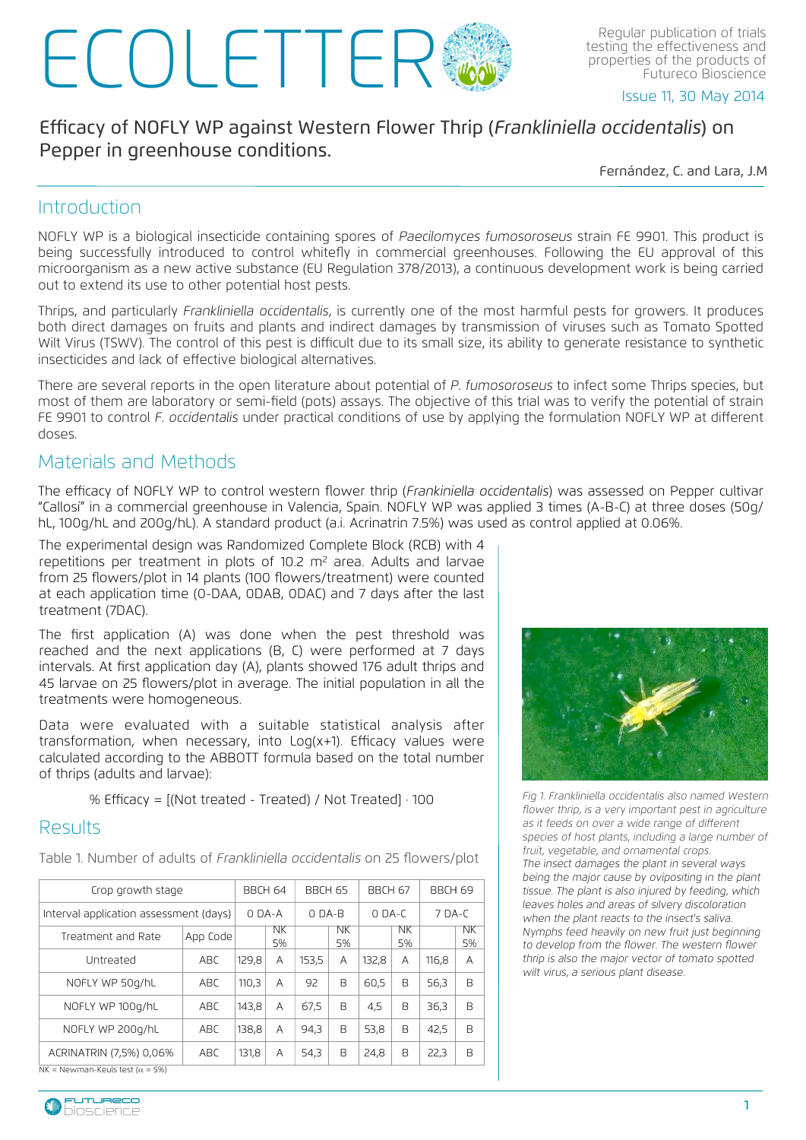# Regular publication of trials<br>testing the effectiveness and<br>Futureco Bioscience

testing the effectiveness and properties of the products of Futureco Bioscience

Issue 11, 30 May 2014

## Efficacy of NOFLY WP against Western Flower Thrip (Frankliniella occidentalis) on Pepper in greenhouse conditions.

Fernández, C. and Lara, J.M

#### **Introduction**

NOFLY WP is a biological insecticide containing spores of *Paecilomyces fumosoroseus* strain FE 9901. This product is being successfully introduced to control whitefly in commercial greenhouses. Following the EU approval of this microorganism as a new active substance (EU Regulation 378/2013), a continuous development work is being carried out to extend its use to other potential host pests.

Thrips, and particularly *Frankliniella occidentalis*, is currently one of the most harmful pests for growers. It produces both direct damages on fruits and plants and indirect damages by transmission of viruses such as Tomato Spotted Wilt Virus (TSWV). The control of this pest is difficult due to its small size, its ability to generate resistance to synthetic insecticides and lack of effective biological alternatives.

There are several reports in the open literature about potential of *P. fumosoroseus* to infect some Thrips species, but most of them are laboratory or semi-field (pots) assays. The objective of this trial was to verify the potential of strain FE 9901 to control *F. occidentalis* under practical conditions of use by applying the formulation NOFLY WP at different doses.

### Materials and Methods

The efficacy of NOFLY WP to control western flower thrip (*Frankiniella occidentalis*) was assessed on Pepper cultivar "Callosí" in a commercial greenhouse in Valencia, Spain. NOFLY WP was applied 3 times (A-B-C) at three doses (50g/ hL, 100g/hL and 200g/hL). A standard product (a.i. Acrinatrin 7.5%) was used as control applied at 0.06%.

The experimental design was Randomized Complete Block (RCB) with 4 repetitions per treatment in plots of 10.2 m<sup>2</sup> area. Adults and larvae from 25 flowers/plot in 14 plants (100 flowers/treatment) were counted at each application time (0-DAA, 0DAB, 0DAC) and 7 days after the last treatment (7DAC).

The first application (A) was done when the pest threshold was reached and the next applications (B, C) were performed at 7 days intervals. At first application day (A), plants showed 176 adult thrips and 45 larvae on 25 flowers/plot in average. The initial population in all the treatments were homogeneous.

Data were evaluated with a suitable statistical analysis after transformation, when necessary, into Log(x+1). Efficacy values were calculated according to the ABBOTT formula based on the total number of thrips (adults and larvae):

% Efficacy = [(Not treated - Treated) / Not Treated] · 100

#### Results

Table 1. Number of adults of *Frankliniella occidentalis* on 25 flowers/plot

| Crop growth stage                       |          | BBCH 64 |          | BBCH 65  |          | BBCH 67  |          | BBCH 69  |          |
|-----------------------------------------|----------|---------|----------|----------|----------|----------|----------|----------|----------|
| Interval application assessment (days)  |          | $ODA-A$ |          | $O$ DA-B |          | $O$ DA-C |          | $7$ DA-C |          |
| Treatment and Rate                      | App Code |         | NK<br>5% |          | NK<br>5% |          | NK<br>5% |          | NK<br>5% |
| Untreated                               | ABC      | 129,8   | A        | 153.5    | А        | 132.8    | A        | 116,8    | A        |
| NOFLY WP 50g/hL                         | ABC      | 110.3   | А        | 92       | B        | 60.5     | B        | 56.3     | B        |
| NOFLY WP 100g/hL                        | ABC.     | 143,8   | A        | 67,5     | B        | 4,5      | B        | 36.3     | B        |
| NOFLY WP 200g/hL                        | ABC      | 138,8   | A        | 94.3     | B        | 53,8     | B        | 42,5     | B        |
| ACRINATRIN (7,5%) 0,06%                 | ABC.     | 131,8   | А        | 54,3     | В        | 24,8     | B        | 22,3     | B        |
| NK = Newman-Keuls test ( $\alpha$ = 5%) |          |         |          |          |          |          |          |          |          |





*Fig 1. Frankliniella occidentalis also named Western flower thrip, is a very important pest in agriculture as it feeds on over a wide range of di*ff*erent species of host plants, including a large number of fruit, vegetable, and ornamental crops. The insect damages the plant in several ways being the major cause by ovipositing in the plant tissue. The plant is also injured by feeding, which leaves holes and areas of silvery discoloration when the plant reacts to the insect's saliva. Nymphs feed heavily on new fruit just beginning to develop from the flower. The western flower thrip is also the major vector of tomato spotted wilt virus, a serious plant disease.*